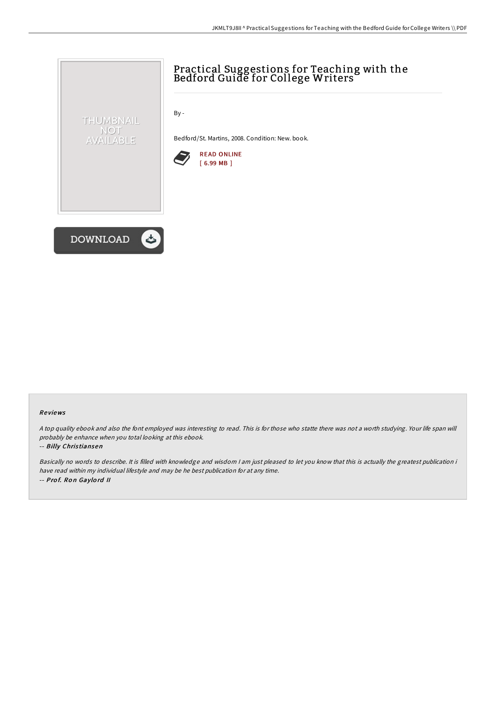

## Re views

<sup>A</sup> top quality ebook and also the font employed was interesting to read. This is for those who statte there was not <sup>a</sup> worth studying. Your life span will probably be enhance when you total looking at this ebook.

## -- Billy Chris tiansen

Basically no words to describe. It is filled with knowledge and wisdom <sup>I</sup> am just pleased to let you know that this is actually the greatest publication i have read within my individual lifestyle and may be he best publication for at any time. -- Prof. Ron Gaylord II